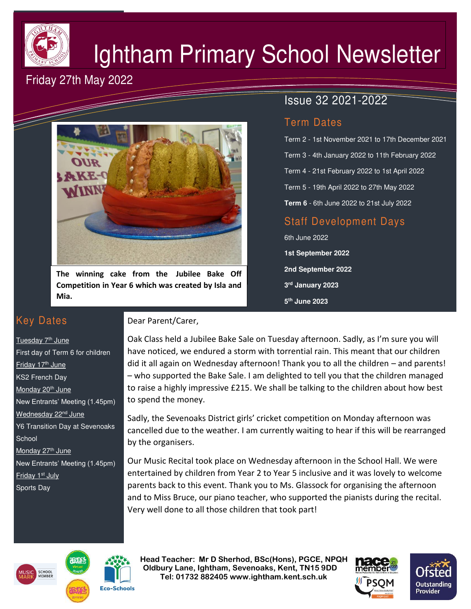

# Ightham Primary School Newsletter

# Friday 27th May 2022



**The winning cake from the Jubilee Bake Off Competition in Year 6 which was created by Isla and Mia.** 

### Key Dates

Tuesday 7<sup>th</sup> June First day of Term 6 for children Friday 17<sup>th</sup> June KS2 French Day Monday 20<sup>th</sup> June New Entrants' Meeting (1.45pm) Wednesday 22<sup>nd</sup> June Y6 Transition Day at Sevenoaks **School** Monday 27<sup>th</sup> June New Entrants' Meeting (1.45pm) Friday 1<sup>st</sup> July Sports Day

#### Dear Parent/Carer,

#### Oak Class held a Jubilee Bake Sale on Tuesday afternoon. Sadly, as I'm sure you will have noticed, we endured a storm with torrential rain. This meant that our children did it all again on Wednesday afternoon! Thank you to all the children – and parents! – who supported the Bake Sale. I am delighted to tell you that the children managed to raise a highly impressive £215. We shall be talking to the children about how best to spend the money.

Sadly, the Sevenoaks District girls' cricket competition on Monday afternoon was cancelled due to the weather. I am currently waiting to hear if this will be rearranged by the organisers.

Our Music Recital took place on Wednesday afternoon in the School Hall. We were entertained by children from Year 2 to Year 5 inclusive and it was lovely to welcome parents back to this event. Thank you to Ms. Glassock for organising the afternoon and to Miss Bruce, our piano teacher, who supported the pianists during the recital. Very well done to all those children that took part!





 **Head Teacher: Mr D Sherhod, BSc(Hons), PGCE, NPQH Oldbury Lane, Ightham, Sevenoaks, Kent, TN15 9DD** EXERIGING THE **TELE: 01732 882405 www.ightham.kent.sch.uk**<br>Tel: 01732 882405 www.ightham.kent.sch.uk





# Issue 32 2021-2022

#### Term Dates

Term 2 - 1st November 2021 to 17th December 2021 Term 3 - 4th January 2022 to 11th February 2022 Term 4 - 21st February 2022 to 1st April 2022 Term 5 - 19th April 2022 to 27th May 2022 **Term 6** - 6th June 2022 to 21st July 2022

## Staff Development Days

6th June 2022 **1st September 2022 2nd September 2022 3 rd January 2023 5 th June 2023**